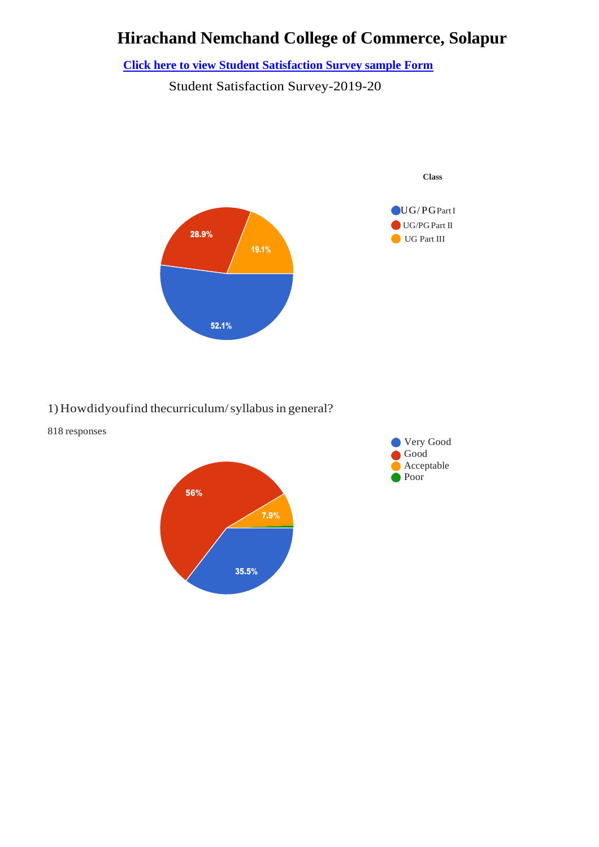# **Hirachand Nemchand College of Commerce, Solapur**

**[Click here to view Student Satisfaction Survey sample Form](https://docs.google.com/forms/d/e/1FAIpQLSfNlNJoxQONcYXrYJDs-XQSt_U5a27rle64hV6l6F-xXH18rw/viewform)**

Student Satisfaction Survey-2019-20



#### 1)Howdidyoufind thecurriculum/syllabusin general?



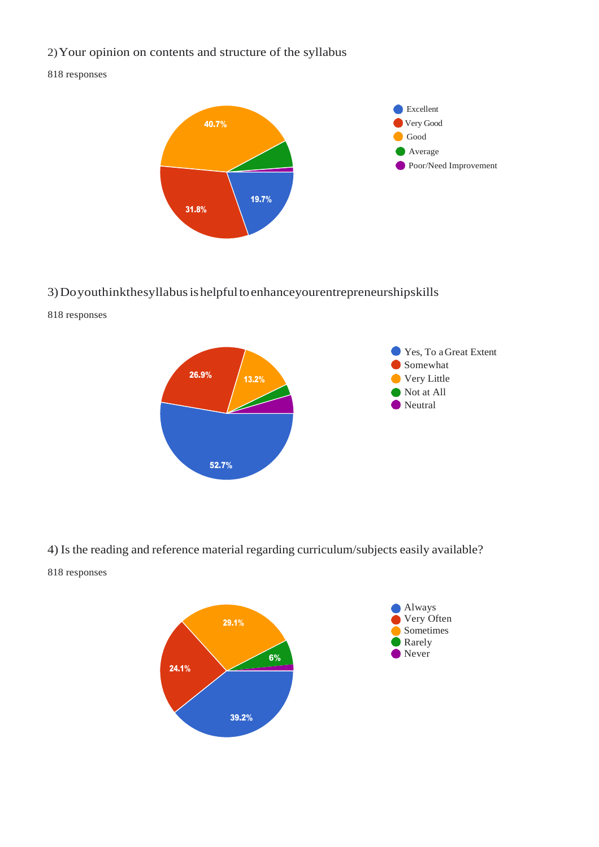#### 2)Your opinion on contents and structure of the syllabus

#### 818 responses



#### 3)Doyouthinkthesyllabusishelpfultoenhanceyourentrepreneurshipskills

818 responses



4) Is the reading and reference material regarding curriculum/subjects easily available?

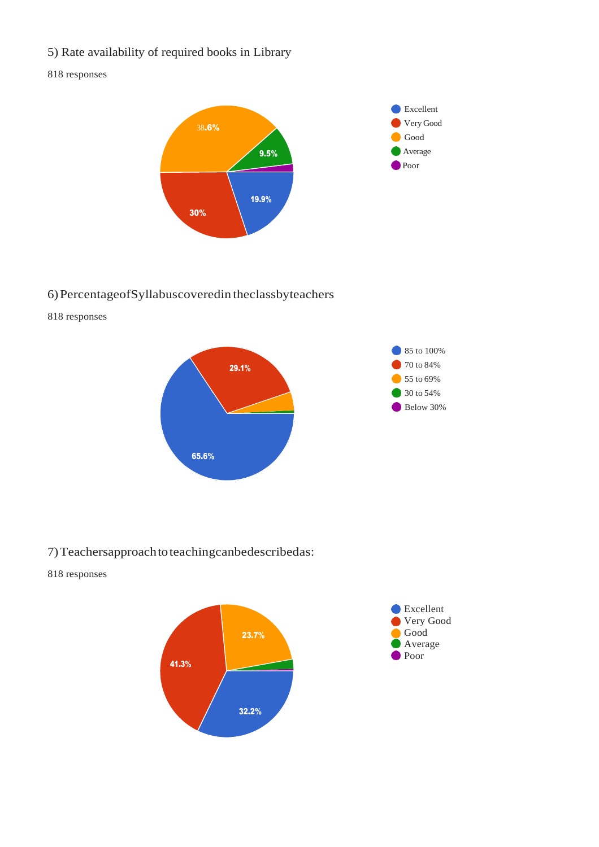5) Rate availability of required books in Library

#### 818 responses



#### 6)PercentageofSyllabuscoveredin theclassbyteachers

818 responses



#### 7)Teachersapproachtoteachingcanbedescribedas:

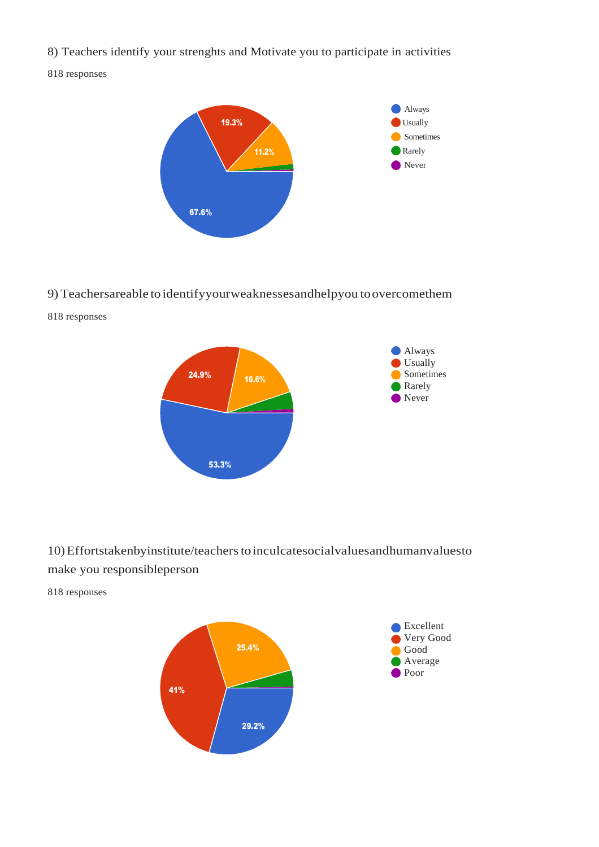8) Teachers identify your strenghts and Motivate you to participate in activities

818 responses



#### 9) Teachersareable to identifyyourweaknessesandhelpyou toovercomethem

818 responses



### 10)Effortstakenbyinstitute/teacherstoinculcatesocialvaluesandhumanvaluesto make you responsibleperson

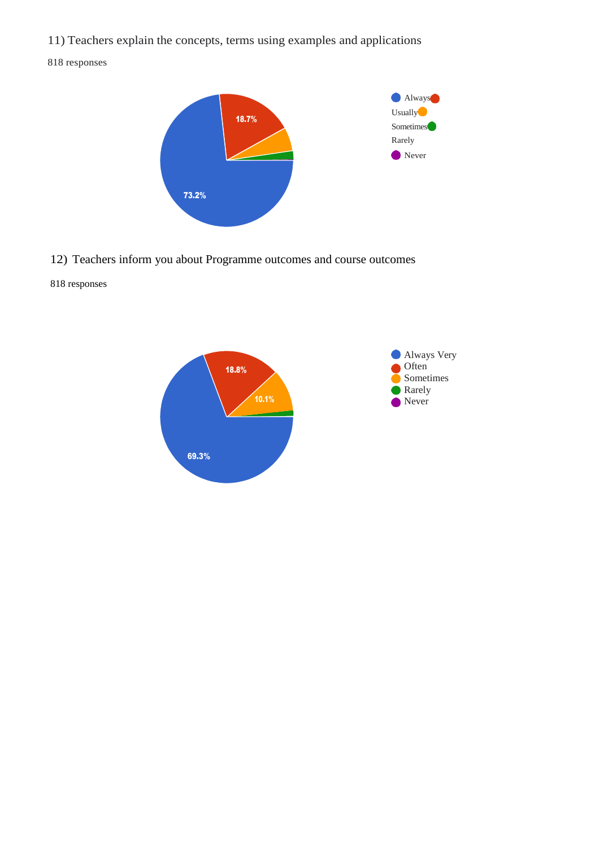11) Teachers explain the concepts, terms using examples and applications

818 responses



12) Teachers inform you about Programme outcomes and course outcomes

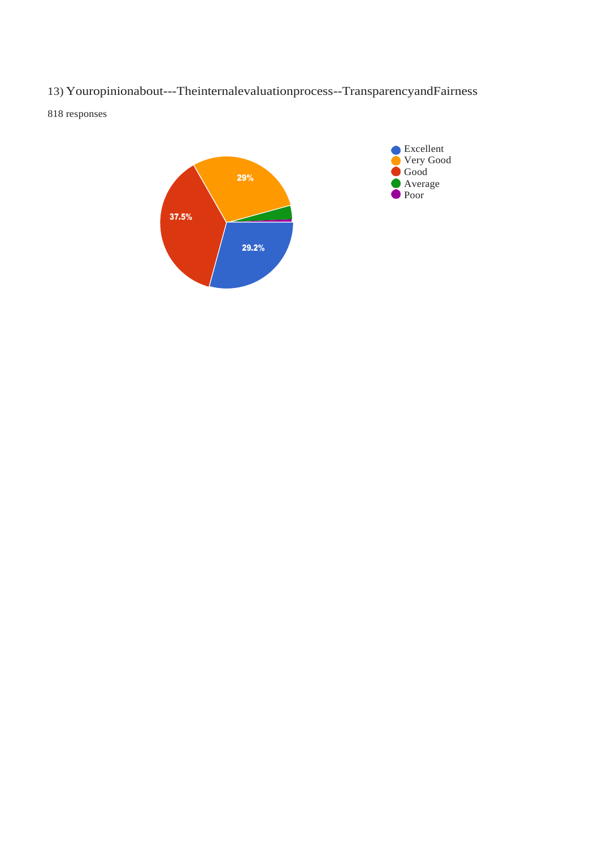13) Youropinionabout---Theinternalevaluationprocess--TransparencyandFairness

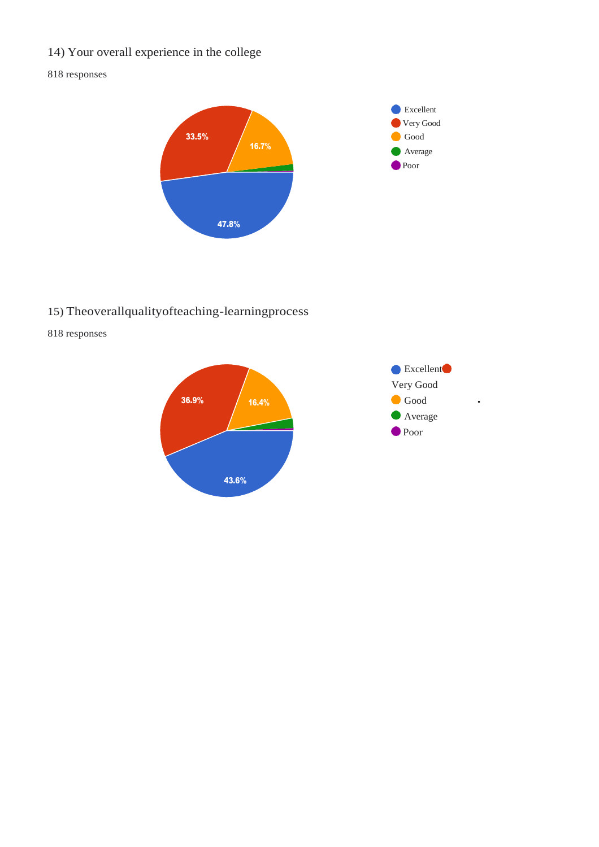# 14) Your overall experience in the college

#### 818 responses



# 15) Theoverallqualityofteaching-learningprocess



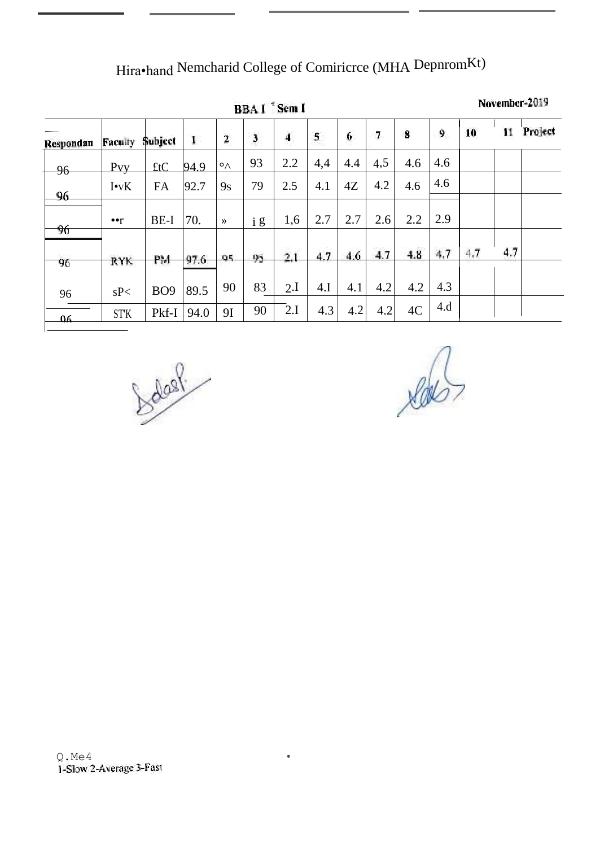Hira•hand Nemcharid College of Comiricrce (MHA DepnromKt)

|           | BBA I Sem I              |                 |      |                         |              |     |              |     |                |     |     |     | November-2019 |         |  |
|-----------|--------------------------|-----------------|------|-------------------------|--------------|-----|--------------|-----|----------------|-----|-----|-----|---------------|---------|--|
| Respondan | Faculty                  | Subject         | 1    | $\overline{\mathbf{c}}$ | $\mathbf{3}$ | 4   | $\mathbf{s}$ | 6   | $\overline{I}$ | 8   | 9   | 10  | 11            | Project |  |
| 96        | Pvy                      | ftC             | 94.9 | $\circ \wedge$          | 93           | 2.2 | 4,4          | 4.4 | 4,5            | 4.6 | 4.6 |     |               |         |  |
| 96        | $I\cdot vK$              | <b>FA</b>       | 92.7 | 9s                      | 79           | 2.5 | 4.1          | 4Z  | 4.2            | 4.6 | 4.6 |     |               |         |  |
| 96        | $\bullet \bullet \gamma$ | BE-I            | 70.  | $\rightarrow$           | i g          | 1,6 | 2.7          | 2.7 | 2.6            | 2.2 | 2.9 |     |               |         |  |
| 96        | <b>RYK</b>               | PM              | 97.6 | 95.                     | 95           | 2.1 | 4.7          | 4.6 | 4.7            | 4.8 | 4.7 | 4.7 | 4.7           |         |  |
| 96        | sP<                      | BO <sub>9</sub> | 89.5 | 90                      | 83           | 2.I | 4.I          | 4.1 | 4.2            | 4.2 | 4.3 |     |               |         |  |
| 06        | ST'K                     | Pkf-I           | 94.0 | 91                      | 90           | 2.I | 4.3          | 4.2 | 4.2            | 4C  | 4.d |     |               |         |  |

 $\bullet$ 

bodas?

 $\sqrt{d}$ 

Q . Me 4<br>1-Slow 2-Average 3-Fast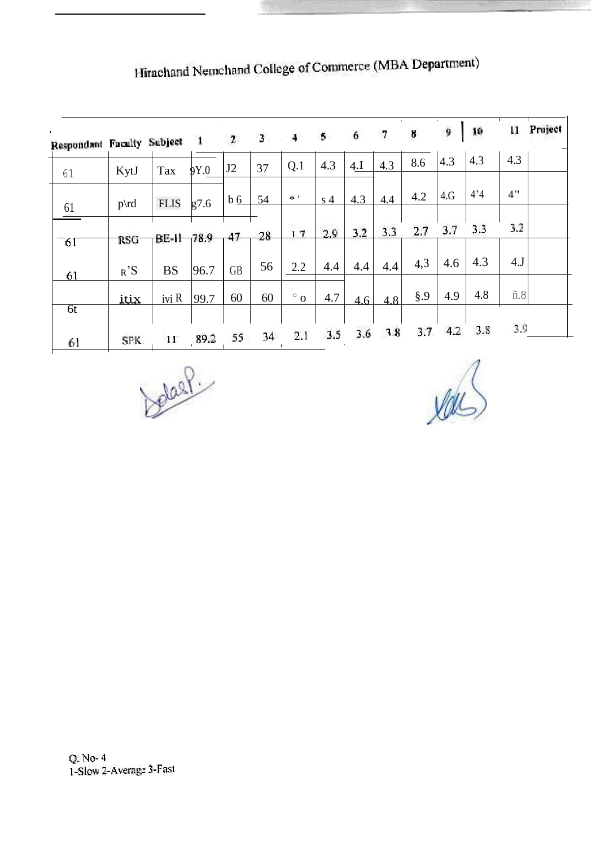| $\mathbf{L}$<br>Respondant Faculty Subject |             |             | $\mathbf{1}$ | $\mathbf{z}$      | 3. | 4         | $5 -$          | 6   | 7   | 8      | 9   | 10  | и             | Project |
|--------------------------------------------|-------------|-------------|--------------|-------------------|----|-----------|----------------|-----|-----|--------|-----|-----|---------------|---------|
| 61                                         | KytJ        | Tax         | 9Y.0         | J2                | 37 | Q.1       | 4.3            | 4.I | 4.3 | 8.6    | 4.3 | 4.3 | 4.3           |         |
|                                            | $p\cdot d$  | <b>FLIS</b> | g7.6         | $b \underline{6}$ | 54 | $*$ '     | s <sub>4</sub> | 4.3 | 4.4 | 4.2    | 4.G | 4'4 | 4"            |         |
| 61                                         |             |             |              |                   | 28 | 17        | 29             | 3.2 | 3.3 | 2.7    | 3.7 | 3.3 | 3.2           |         |
| $-61$                                      | <b>RSG</b>  | BE-H        | 78.9         | 47                |    |           |                |     |     | 4,3    | 4.6 | 4.3 | 4J            |         |
| 61                                         | $R^2S$      | <b>BS</b>   | 96.7         | <b>GB</b>         | 56 | 2.2       | 4.4            | 4.4 | 4.4 |        |     |     |               |         |
|                                            | <u>itix</u> | ivi R       | 99.7         | 60                | 60 | $\circ$ 0 | 4.7            | 4.6 | 4.8 | $\S.9$ | 4.9 | 4.8 | $\tilde{n}.8$ |         |
| $\overline{6}t$                            |             |             |              |                   |    |           |                |     |     |        |     |     |               |         |
| 61                                         | SPK.        | 11          | 89.2         | 55                | 34 | 2.1       | 3.5            | 3.6 | 78  | 3.7.   | 4.2 | 3.8 | 3.9           |         |

Hirachand Nemchand College of Commerce (MBA Department)

belast

 $W$ 

Q. No- 4<br>1-Slow 2-Average 3-Fast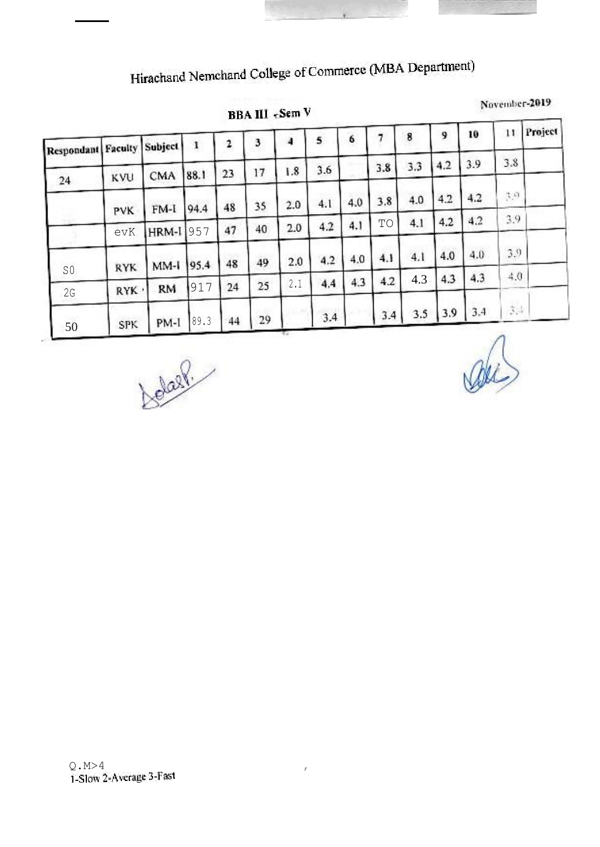Hirachand Nemchand College of Commerce (MBA Department)

**BBA III** «Sem V

November-2019

| Respondant Faculty |            | Subject   | 1    | 2  | 3  | 4   | 5   | 6   |     | 8   | 9   | 10  | 11                 | Project |
|--------------------|------------|-----------|------|----|----|-----|-----|-----|-----|-----|-----|-----|--------------------|---------|
|                    | KVU        | CMA       | 88.1 | 23 | 17 | 1.8 | 3.6 |     | 3.8 | 3.3 | 4.2 | 3.9 | 3.8                |         |
| 24                 | PVK        | $FM-1$    | 94.4 | 48 | 35 | 2.0 | 4.1 | 4.0 | 3.8 | 4.0 | 4.2 | 4.2 | 3,9                |         |
|                    | evK        | HRM-I     | 1957 | 47 | 40 | 2.0 | 4.2 | 4.1 | TO  | 4.1 | 4.2 | 4.2 | 3.9                |         |
|                    | <b>RYK</b> | MM-I 95.4 |      | 48 | 49 | 2.0 | 4.2 | 4.0 | 4.1 | 4.1 | 4.0 | 4.0 | 3.9                |         |
| SO<br>2G           | RYK ·      | <b>RM</b> | 917  | 24 | 25 | 2.1 | 4,4 | 4.3 | 4.2 | 4.3 | 4.3 | 4.3 | 4.0.               |         |
| 50                 | <b>SPK</b> | PM-I      | 89.3 | 44 | 29 |     | 3.4 |     | 3.4 | 3.5 | 3.9 | 3.4 | $\hat{\mathbf{5}}$ |         |

Jobart 1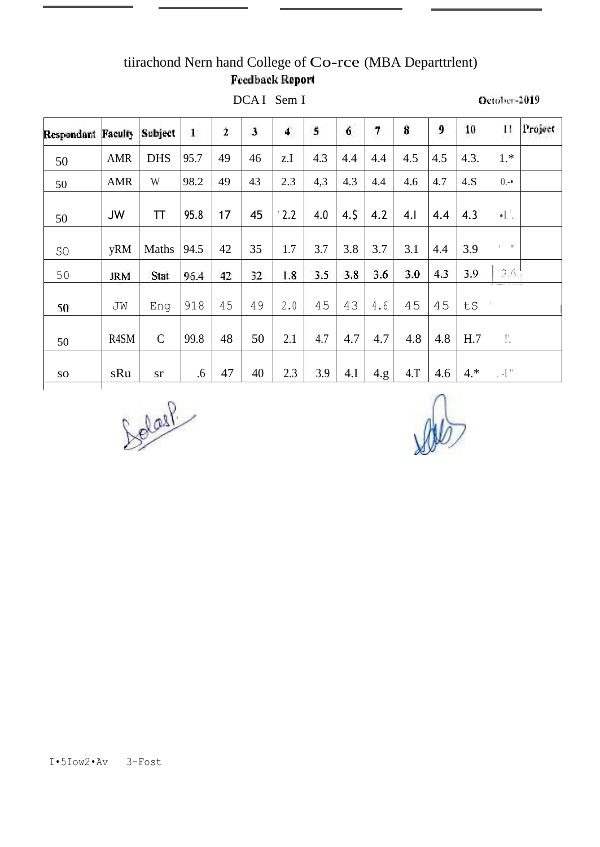# tiirachond Nern hand College of Co-rce (MBA Departtrlent) **Feedback Report**

DCAI Sem I

| <b>Respondant Faculty</b> |            | Subject       | 4    | $\overline{\mathbf{2}}$ | $\mathbf{J}$ | 4    | 5   | 6   | 7    | 8   | 9   | 10    | П                                 | Project |
|---------------------------|------------|---------------|------|-------------------------|--------------|------|-----|-----|------|-----|-----|-------|-----------------------------------|---------|
| 50                        | <b>AMR</b> | <b>DHS</b>    | 95.7 | 49                      | 46           | z.I  | 4.3 | 4.4 | 4.4  | 4.5 | 4.5 | 4.3.  | $1.*$                             |         |
| 50                        | <b>AMR</b> | W             | 98.2 | 49                      | 43           | 2.3  | 4,3 | 4.3 | 4.4  | 4.6 | 4.7 | 4.S   | $0 -$                             |         |
| 50                        | <b>JW</b>  | ΤT            | 95.8 | 17                      | 45           | 12.2 | 4.0 | 4.5 | 4.2  | 4.1 | 4.4 | 4.3   | $\bullet$ $\vert \ \cdot \ \vert$ |         |
| SO                        | yRM        | Maths         | 94.5 | 42                      | 35           | 1.7  | 3.7 | 3.8 | 3.7  | 3.1 | 4.4 | 3.9   | $1 - 111$                         |         |
| 50                        | <b>JRM</b> | Stat          | 96.4 | 42                      | 32           | 1.8  | 3.5 | 3.8 | 3.6  | 3.0 | 4.3 | 3.9   | 3.6.                              |         |
| 50                        | JW         | Eng           | 918  | 45                      | 49           | 2.0  | 45  | 43  | 4.6  | 45  | 45  | tS    |                                   |         |
| 50                        | R4SM       | $\mathcal{C}$ | 99.8 | 48                      | 50           | 2.1  | 4.7 | 4.7 | 4.7  | 4.8 | 4.8 | H.7   | Γ.                                |         |
| ${\bf SO}$                | sRu        | <b>sr</b>     | .6   | 47                      | 40           | 2.3  | 3.9 | 4.I | 4.g. | 4.T | 4.6 | $4.*$ | $\cdot$ -I $"$                    |         |

Solar

October-2019

I.5Iow2.Av 3-Fost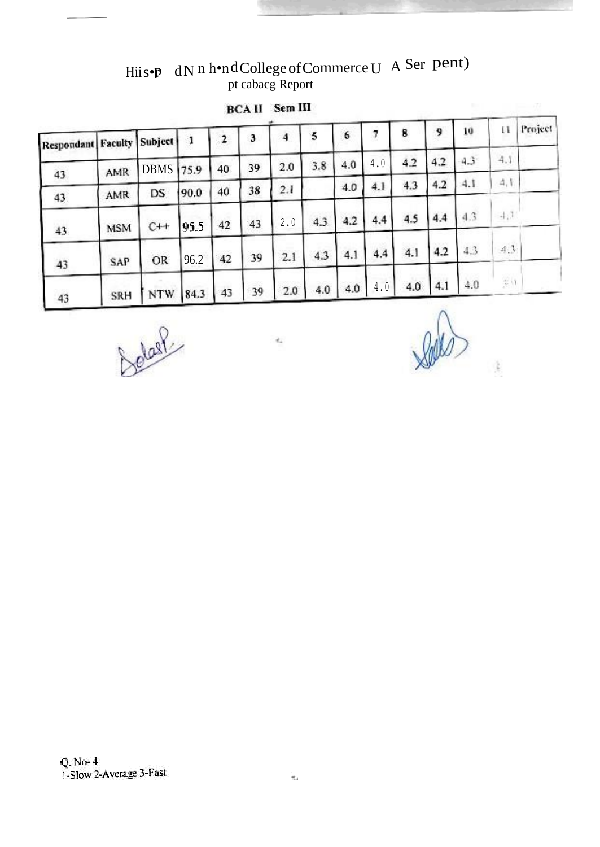Hiis•p dN n h•ndCollege of Commerce U A Ser pent)<br>pt cabacg Report

| <b>BCAII</b> | Sem III |  |
|--------------|---------|--|
|              |         |  |

| <b>Respondant Faculty Subject</b> |            |                  | ា    |    | 3  |     | 5   | 6   | 7   | 8   | 9   | 10            | и      | Project |
|-----------------------------------|------------|------------------|------|----|----|-----|-----|-----|-----|-----|-----|---------------|--------|---------|
|                                   | AMR        | <b>DBMS</b> 75.9 |      | 40 | 39 | 2.0 | 3.8 | 4.0 | 4.0 | 4.2 | 4.2 | $4.3^{\circ}$ | 4.1    |         |
| 43<br>43                          | AMR        | DS.              | 90.0 | 40 | 38 | 2.1 |     | 4.0 | 4.1 | 4.3 | 4.2 | 4.1           | 4,1    |         |
| 43                                | <b>MSM</b> | $C++$            | 95.5 | 42 | 43 | 2.0 | 4.3 | 4.2 | 4.4 | 4.5 | 4.4 | 4.3           | $+1.1$ |         |
| 43                                | SAP        | OR               | 96.2 | 42 | 39 | 2.1 | 4.3 | 4.1 | 4.4 | 4.1 | 4.2 | 4.3           | 4.3    |         |
| 43                                | SRH        | <b>NTW</b>       | 84.3 | 43 | 39 | 2.0 | 4.0 | 4.0 | 4.0 | 4.0 | 4.1 | 4.0           | 彩线     |         |

Detail

ż,

į,

Q. No- 4<br>1-Slow 2-Average 3-Fast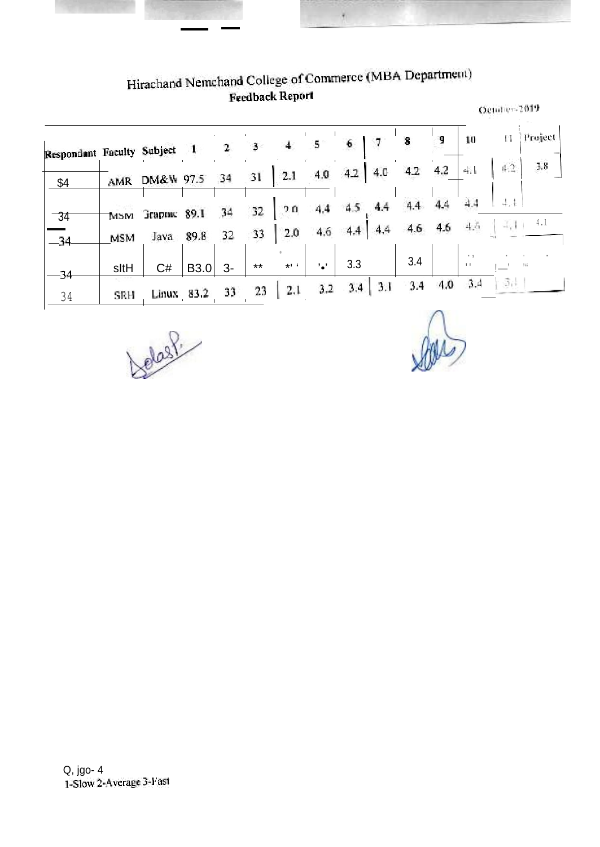# Hirachand Nemchand College of Commerce (MBA Department)<br>Feedback Report

¥

|                            |            |             |            |      |       |                |               |           |        |     |     | October-2019             |        |         |  |
|----------------------------|------------|-------------|------------|------|-------|----------------|---------------|-----------|--------|-----|-----|--------------------------|--------|---------|--|
| Respondant Faculty Subject |            |             |            | 2    | 3     |                | 5.            | 6         | 7      | 8   | 9   | 10                       | П      | Project |  |
| \$4                        | AMR        | DM&W 97.5   |            | 34   | 31    | 2.1            | 4.0           | 4.2       | 4.0    | 4.2 | 4.2 | 4清                       | 42.    | 3.8     |  |
| $-34$                      | <b>MSM</b> | Згарок 89.1 |            | 34   | 32    | 70             | 4.4           | 4.5       | 4,4    | 4.4 | 4.4 | 4.4                      |        |         |  |
| -34                        | <b>MSM</b> | Java        | 89.8       | 32   | 33    | 2.0            | 4.6           | $4.4-1$   | $-4.4$ | 4.6 | 4.6 | 4.6                      | $-1/1$ | 4.1     |  |
| -34                        | sltH       | C#          | B3.0       | $3-$ | $***$ | $*$ $\epsilon$ | $^{\prime}$ . | 3.3       |        | 3.4 |     | $\cdots$<br>$\mathbf{1}$ |        | 766     |  |
| 34                         | SRH        |             | Linux 83.2 | 33   | 23    | 2,1            | 3.2           | $3.4$ 3.1 |        | 3.4 | 4.0 | 3.4                      | 道法     |         |  |
|                            |            |             |            |      |       |                |               |           |        |     |     |                          |        |         |  |

Jobst.

10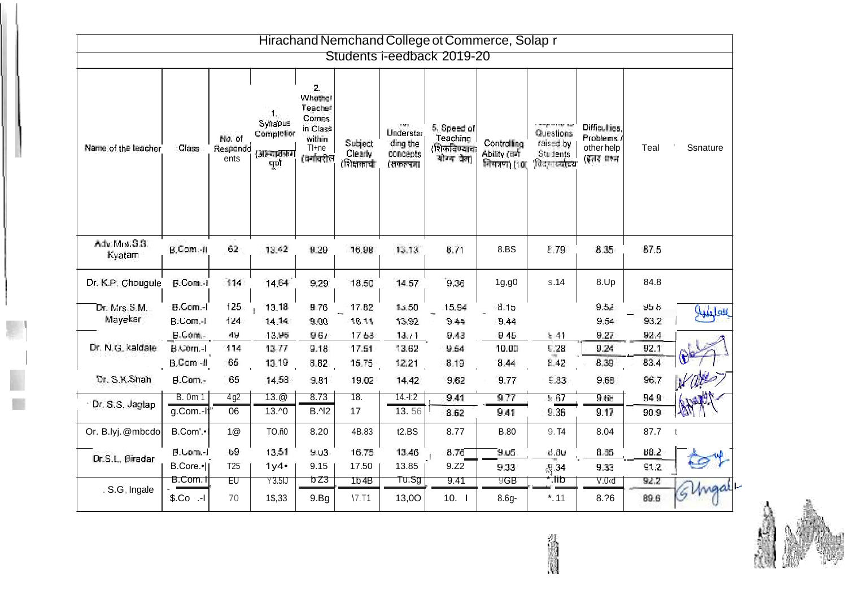|                          |                             |                            |                                                          |                                                                                |                                         |                                               | Hirachand Nemchand College ot Commerce, Solap r      |                                            |                                                                          |                                                          |                |          |
|--------------------------|-----------------------------|----------------------------|----------------------------------------------------------|--------------------------------------------------------------------------------|-----------------------------------------|-----------------------------------------------|------------------------------------------------------|--------------------------------------------|--------------------------------------------------------------------------|----------------------------------------------------------|----------------|----------|
|                          |                             |                            |                                                          |                                                                                |                                         |                                               | Students i-eedback 2019-20                           |                                            |                                                                          |                                                          |                |          |
| Name of the leacher      | Class:                      | No. of<br>Respondd<br>ents | л.,<br>Syltapus<br>Completion<br>(अस्त्याराक्रम<br>पूर्ण | 2.<br>Whether<br>Teacher<br>Comes<br>in Class<br>within<br>Tl+ne<br>(वर्गावरील | Subject<br><b>Clearly</b><br>(शिक्षकाची | Understar<br>ding the<br>concepts<br>(सकल्पना | 5. Speed of<br>Teaching<br>शिकविण्याचा<br>योग्य चेना | Controlling<br>Ability (av)<br>नियनण) (10) | compared to a sec<br>Questions<br>raised by<br>Students<br>विद्युतस्यस्य | Difficulties.<br>Problems.)<br>other help<br>(इतर प्रश्न | Teal           | Ssnature |
| Adv:Mrs.S.S.<br>Kyatam   | B.Com.-II                   | 62                         | 13.42                                                    | 9.29                                                                           | 16.98                                   | 13.13                                         | 8.71                                                 | 8.BS                                       | E.79                                                                     | 8.35                                                     | 87.5           |          |
| Dr. K.P. Chougule        | B.Com.-1                    | 114                        | 14.64                                                    | 9.29                                                                           | 18.50                                   | 14.57                                         | 9.36                                                 | 1g, g0                                     | s.14                                                                     | 8.Up                                                     | 84.8           |          |
| Dr. Mrs. S.M.<br>Mayekar | B.Com.-I<br>B:Com.-I        | 125<br>124                 | 13,18<br>14.14                                           | 9.76<br>9.00                                                                   | 17.82<br>18.11                          | 15,50<br>13.92                                | 15,94<br>9.44                                        | 8.15<br>9.44                               |                                                                          | 9.52<br>9.54                                             | sta is<br>93.2 | العليلية |
| Dr. N.G. kaldate         | B.Com.-<br>B.Com.-I         | 49<br>114                  | 13.95<br>13,77                                           | 96/<br>9.18                                                                    | 1753<br>17.51                           | 13.71<br>13.62                                | 9.43<br>9.64                                         | 945<br>10.00                               | 5.41<br>\$28                                                             | 9.27<br>9.24                                             | 92.4<br>92.1   |          |
| Dr. S.K.Shah             | B.Com -II<br>B.Com.-        | 65<br>65                   | 13.19<br>14.58                                           | 8.82<br>9.81                                                                   | 15.75<br>19.02                          | 12.21<br>14.42                                | 8.19<br>9.62                                         | 8.44<br>9.77                               | 8.42<br>6.33                                                             | 8,39<br>9.68                                             | 83.4<br>96.7   |          |
| Dr. S.S. Jagtap          | <b>B.</b> 0m 1<br>g.Com.-It | 4g2<br>06                  | $13.\textcircled{2}$<br>13.40                            | 8.73<br><b>B.</b> 12                                                           | $\overline{18}$ .<br>17                 | 14.12<br>13.56                                | 9.41<br>8.62                                         | 9.77<br>9.41                               | 8.67<br>9:36                                                             | 9.68<br>9:17                                             | 94.9<br>90.9   |          |
| Or. B.lyj.@mbcdo         | B.Com'.•                    | 1@                         | TO.ñ0                                                    | 8.20                                                                           | 4B.83                                   | t2.BS                                         | 8.77                                                 | <b>B.80</b>                                | 9.74                                                                     | 8.04                                                     | 87.7           |          |
| Dr.S.L., Biradar         | B.Com.-I<br>B.Core.•        | Đ9<br>T <sub>25</sub>      | 13.51<br>1y4                                             | 9.U3<br>9.15                                                                   | 16.75<br>17.50                          | 13.46<br>13.85                                | 8.76<br>9.Z2                                         | 9,05<br>9.33                               | 8.8u<br>F.34                                                             | 8.85<br>9.33                                             | 88.2<br>91.2   |          |
| . S.G, Ingale            | B.Com.1<br>$$CO$ .-1        | EU<br>70                   | Y3.5J<br>1\$,33                                          | bZ3<br>9.Bq                                                                    | 1b4B<br>17.71                           | Tu.Sg<br>13,0O                                | 9.41<br>10.1                                         | 9GB<br>$8.6g -$                            | dil.<br>"<br>$*$ , 11                                                    | V.0 <sub>0</sub><br>8.?6                                 | 92.2<br>89.6   |          |

小的复数

n.

¥,